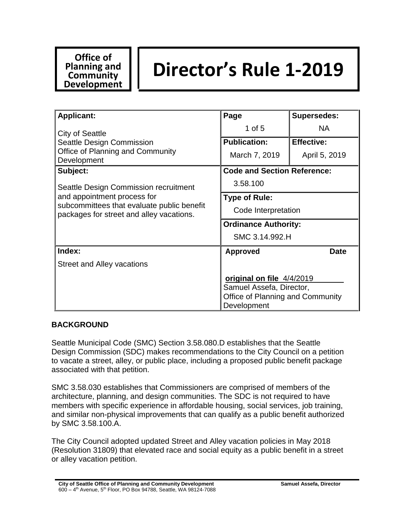# **Office of Planning and Community Development**

# **Director's Rule 1-2019**

| <b>Applicant:</b>                                                                                                                                              | Page                               | <b>Supersedes:</b> |
|----------------------------------------------------------------------------------------------------------------------------------------------------------------|------------------------------------|--------------------|
| City of Seattle                                                                                                                                                | 1 of $5$                           | <b>NA</b>          |
| Seattle Design Commission                                                                                                                                      | <b>Publication:</b>                | <b>Effective:</b>  |
| Office of Planning and Community<br>Development                                                                                                                | March 7, 2019                      | April 5, 2019      |
| Subject:                                                                                                                                                       | <b>Code and Section Reference:</b> |                    |
| Seattle Design Commission recruitment<br>and appointment process for<br>subcommittees that evaluate public benefit<br>packages for street and alley vacations. | 3.58.100                           |                    |
|                                                                                                                                                                | <b>Type of Rule:</b>               |                    |
|                                                                                                                                                                | Code Interpretation                |                    |
|                                                                                                                                                                | <b>Ordinance Authority:</b>        |                    |
|                                                                                                                                                                | SMC 3.14.992.H                     |                    |
| Index:                                                                                                                                                         | <b>Approved</b>                    | <b>Date</b>        |
| <b>Street and Alley vacations</b>                                                                                                                              |                                    |                    |
|                                                                                                                                                                | original on file 4/4/2019          |                    |
|                                                                                                                                                                | Samuel Assefa, Director,           |                    |
|                                                                                                                                                                | Office of Planning and Community   |                    |
|                                                                                                                                                                | Development                        |                    |

## **BACKGROUND**

Seattle Municipal Code (SMC) Section 3.58.080.D establishes that the Seattle Design Commission (SDC) makes recommendations to the City Council on a petition to vacate a street, alley, or public place, including a proposed public benefit package associated with that petition.

SMC 3.58.030 establishes that Commissioners are comprised of members of the architecture, planning, and design communities. The SDC is not required to have members with specific experience in affordable housing, social services, job training, and similar non-physical improvements that can qualify as a public benefit authorized by SMC 3.58.100.A.

The City Council adopted updated Street and Alley vacation policies in May 2018 (Resolution 31809) that elevated race and social equity as a public benefit in a street or alley vacation petition.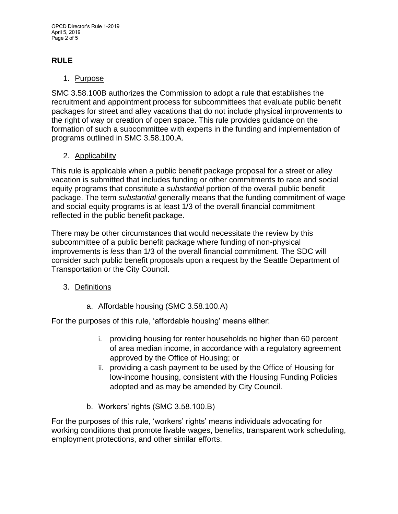# **RULE**

## 1. Purpose

SMC 3.58.100B authorizes the Commission to adopt a rule that establishes the recruitment and appointment process for subcommittees that evaluate public benefit packages for street and alley vacations that do not include physical improvements to the right of way or creation of open space. This rule provides guidance on the formation of such a subcommittee with experts in the funding and implementation of programs outlined in SMC 3.58.100.A.

#### 2. Applicability

This rule is applicable when a public benefit package proposal for a street or alley vacation is submitted that includes funding or other commitments to race and social equity programs that constitute a *substantial* portion of the overall public benefit package. The term *substantial* generally means that the funding commitment of wage and social equity programs is at least 1/3 of the overall financial commitment reflected in the public benefit package.

There may be other circumstances that would necessitate the review by this subcommittee of a public benefit package where funding of non-physical improvements is *less* than 1/3 of the overall financial commitment. The SDC will consider such public benefit proposals upon a request by the Seattle Department of Transportation or the City Council.

## 3. Definitions

a. Affordable housing (SMC 3.58.100.A)

For the purposes of this rule, 'affordable housing' means either:

- i. providing housing for renter households no higher than 60 percent of area median income, in accordance with a regulatory agreement approved by the Office of Housing; or
- ii. providing a cash payment to be used by the Office of Housing for low-income housing, consistent with the Housing Funding Policies adopted and as may be amended by City Council.
- b. Workers' rights (SMC 3.58.100.B)

For the purposes of this rule, 'workers' rights' means individuals advocating for working conditions that promote livable wages, benefits, transparent work scheduling, employment protections, and other similar efforts.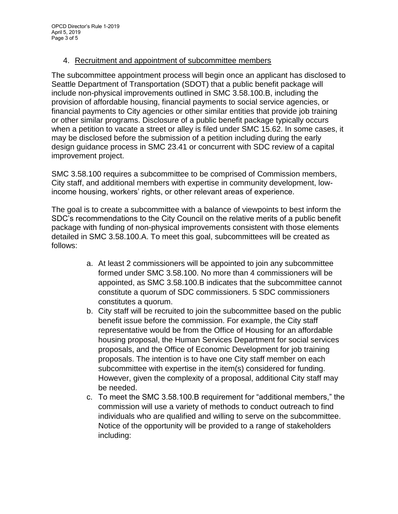#### 4. Recruitment and appointment of subcommittee members

The subcommittee appointment process will begin once an applicant has disclosed to Seattle Department of Transportation (SDOT) that a public benefit package will include non-physical improvements outlined in SMC 3.58.100.B, including the provision of affordable housing, financial payments to social service agencies, or financial payments to City agencies or other similar entities that provide job training or other similar programs. Disclosure of a public benefit package typically occurs when a petition to vacate a street or alley is filed under SMC 15.62. In some cases, it may be disclosed before the submission of a petition including during the early design guidance process in SMC 23.41 or concurrent with SDC review of a capital improvement project.

SMC 3.58.100 requires a subcommittee to be comprised of Commission members, City staff, and additional members with expertise in community development, lowincome housing, workers' rights, or other relevant areas of experience.

The goal is to create a subcommittee with a balance of viewpoints to best inform the SDC's recommendations to the City Council on the relative merits of a public benefit package with funding of non-physical improvements consistent with those elements detailed in SMC 3.58.100.A. To meet this goal, subcommittees will be created as follows:

- a. At least 2 commissioners will be appointed to join any subcommittee formed under SMC 3.58.100. No more than 4 commissioners will be appointed, as SMC 3.58.100.B indicates that the subcommittee cannot constitute a quorum of SDC commissioners. 5 SDC commissioners constitutes a quorum.
- b. City staff will be recruited to join the subcommittee based on the public benefit issue before the commission. For example, the City staff representative would be from the Office of Housing for an affordable housing proposal, the Human Services Department for social services proposals, and the Office of Economic Development for job training proposals. The intention is to have one City staff member on each subcommittee with expertise in the item(s) considered for funding. However, given the complexity of a proposal, additional City staff may be needed.
- c. To meet the SMC 3.58.100.B requirement for "additional members," the commission will use a variety of methods to conduct outreach to find individuals who are qualified and willing to serve on the subcommittee. Notice of the opportunity will be provided to a range of stakeholders including: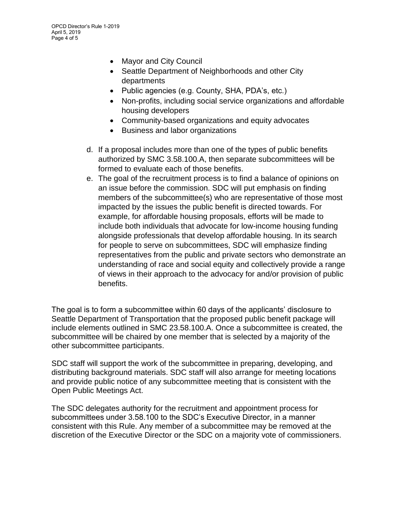- Mayor and City Council
- Seattle Department of Neighborhoods and other City departments
- Public agencies (e.g. County, SHA, PDA's, etc.)
- Non-profits, including social service organizations and affordable housing developers
- Community-based organizations and equity advocates
- Business and labor organizations
- d. If a proposal includes more than one of the types of public benefits authorized by SMC 3.58.100.A, then separate subcommittees will be formed to evaluate each of those benefits.
- e. The goal of the recruitment process is to find a balance of opinions on an issue before the commission. SDC will put emphasis on finding members of the subcommittee(s) who are representative of those most impacted by the issues the public benefit is directed towards. For example, for affordable housing proposals, efforts will be made to include both individuals that advocate for low-income housing funding alongside professionals that develop affordable housing. In its search for people to serve on subcommittees, SDC will emphasize finding representatives from the public and private sectors who demonstrate an understanding of race and social equity and collectively provide a range of views in their approach to the advocacy for and/or provision of public benefits.

The goal is to form a subcommittee within 60 days of the applicants' disclosure to Seattle Department of Transportation that the proposed public benefit package will include elements outlined in SMC 23.58.100.A. Once a subcommittee is created, the subcommittee will be chaired by one member that is selected by a majority of the other subcommittee participants.

SDC staff will support the work of the subcommittee in preparing, developing, and distributing background materials. SDC staff will also arrange for meeting locations and provide public notice of any subcommittee meeting that is consistent with the Open Public Meetings Act.

The SDC delegates authority for the recruitment and appointment process for subcommittees under 3.58.100 to the SDC's Executive Director, in a manner consistent with this Rule. Any member of a subcommittee may be removed at the discretion of the Executive Director or the SDC on a majority vote of commissioners.